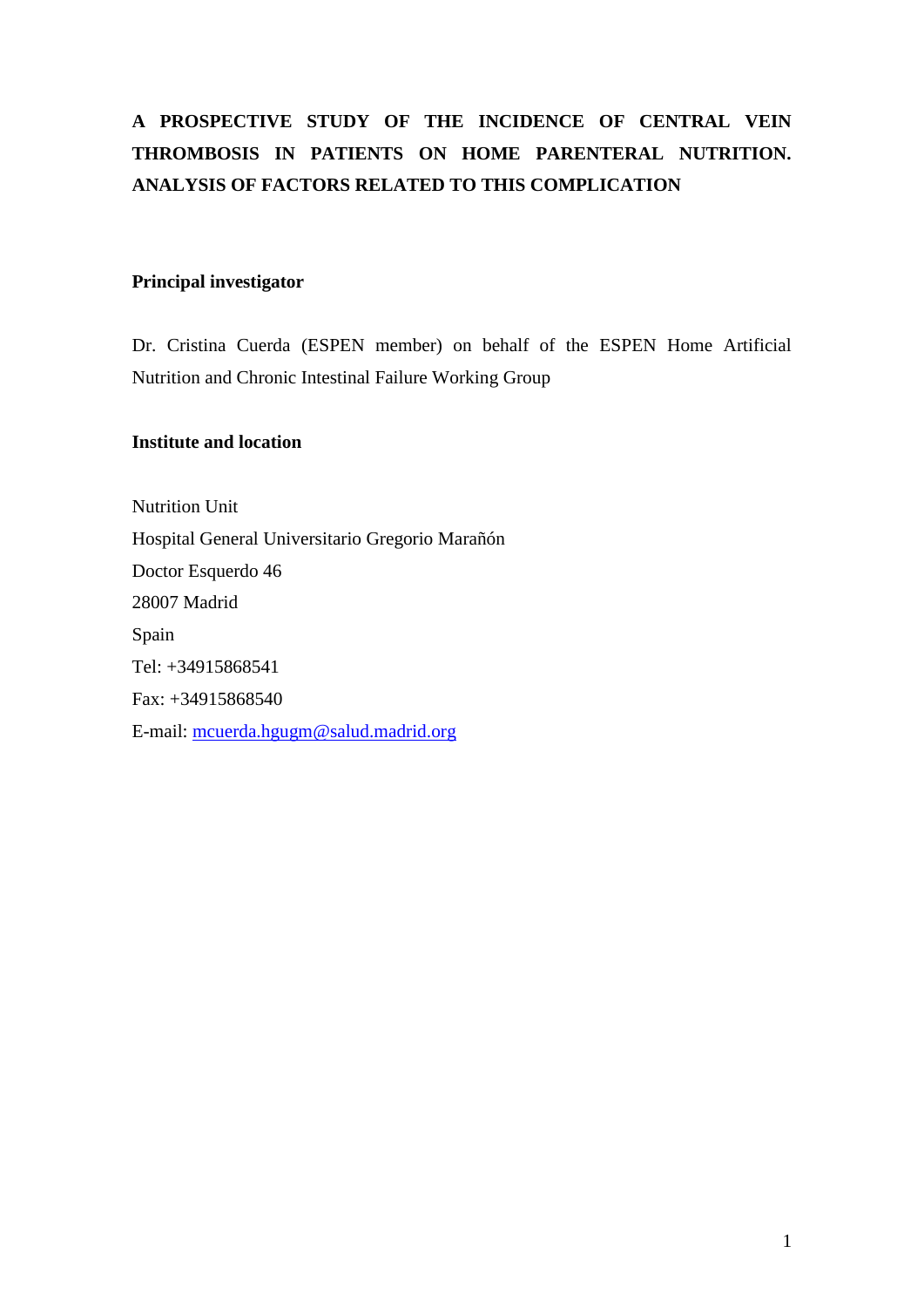# **A PROSPECTIVE STUDY OF THE INCIDENCE OF CENTRAL VEIN THROMBOSIS IN PATIENTS ON HOME PARENTERAL NUTRITION. ANALYSIS OF FACTORS RELATED TO THIS COMPLICATION**

# **Principal investigator**

Dr. Cristina Cuerda (ESPEN member) on behalf of the ESPEN Home Artificial Nutrition and Chronic Intestinal Failure Working Group

# **Institute and location**

Nutrition Unit Hospital General Universitario Gregorio Marañón Doctor Esquerdo 46 28007 Madrid Spain Tel: +34915868541 Fax: +34915868540 E-mail: [mcuerda.hgugm@salud.madrid.org](mailto:mcuerda.hgugm@salud.madrid.org)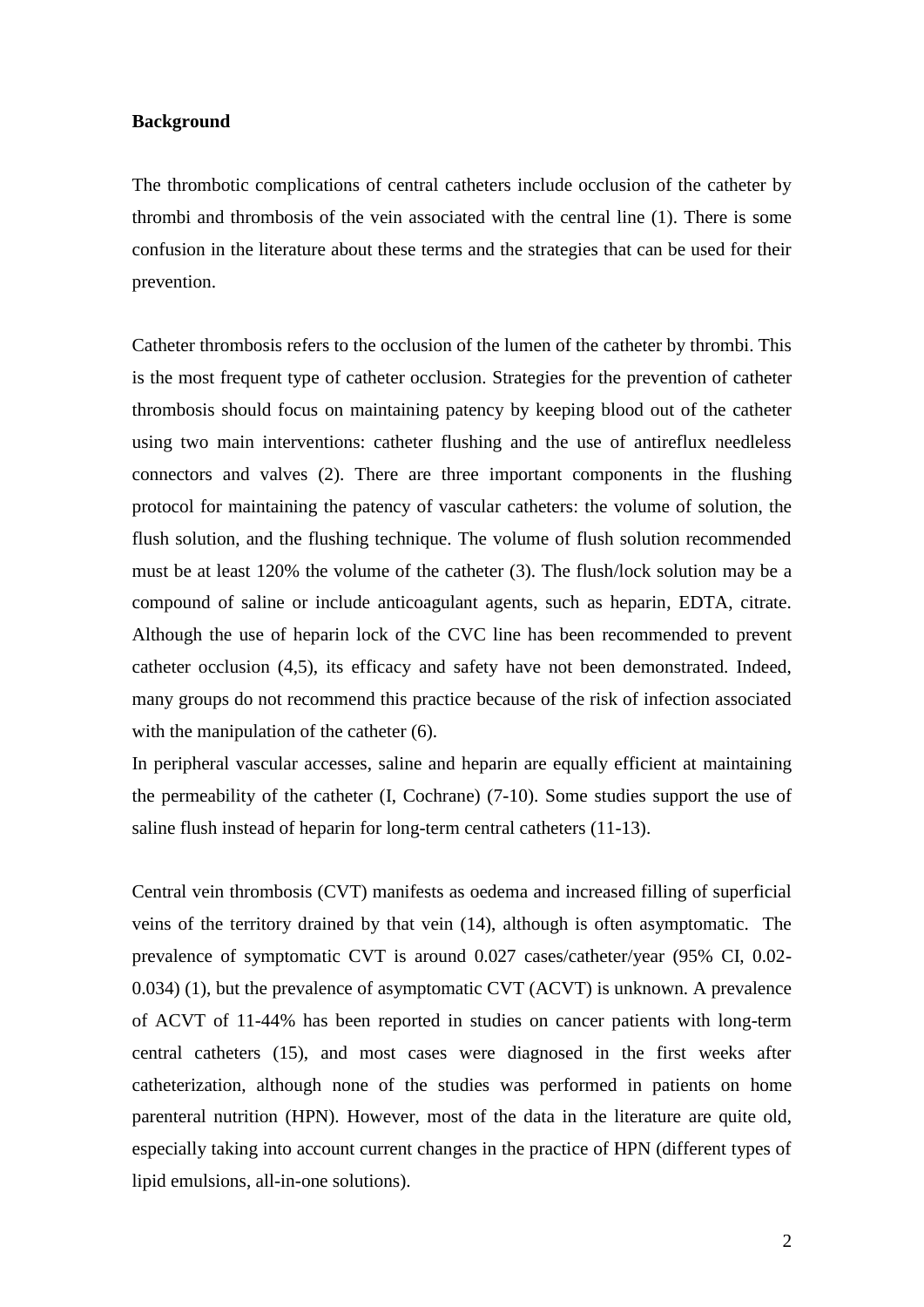#### **Background**

The thrombotic complications of central catheters include occlusion of the catheter by thrombi and thrombosis of the vein associated with the central line (1). There is some confusion in the literature about these terms and the strategies that can be used for their prevention.

Catheter thrombosis refers to the occlusion of the lumen of the catheter by thrombi. This is the most frequent type of catheter occlusion. Strategies for the prevention of catheter thrombosis should focus on maintaining patency by keeping blood out of the catheter using two main interventions: catheter flushing and the use of antireflux needleless connectors and valves (2). There are three important components in the flushing protocol for maintaining the patency of vascular catheters: the volume of solution, the flush solution, and the flushing technique. The volume of flush solution recommended must be at least 120% the volume of the catheter (3). The flush/lock solution may be a compound of saline or include anticoagulant agents, such as heparin, EDTA, citrate. Although the use of heparin lock of the CVC line has been recommended to prevent catheter occlusion (4,5), its efficacy and safety have not been demonstrated. Indeed, many groups do not recommend this practice because of the risk of infection associated with the manipulation of the catheter  $(6)$ .

In peripheral vascular accesses, saline and heparin are equally efficient at maintaining the permeability of the catheter (I, Cochrane) (7-10). Some studies support the use of saline flush instead of heparin for long-term central catheters (11-13).

Central vein thrombosis (CVT) manifests as oedema and increased filling of superficial veins of the territory drained by that vein (14), although is often asymptomatic. The prevalence of symptomatic CVT is around 0.027 cases/catheter/year (95% CI, 0.02- 0.034) (1), but the prevalence of asymptomatic CVT (ACVT) is unknown. A prevalence of ACVT of 11-44% has been reported in studies on cancer patients with long-term central catheters (15), and most cases were diagnosed in the first weeks after catheterization, although none of the studies was performed in patients on home parenteral nutrition (HPN). However, most of the data in the literature are quite old, especially taking into account current changes in the practice of HPN (different types of lipid emulsions, all-in-one solutions).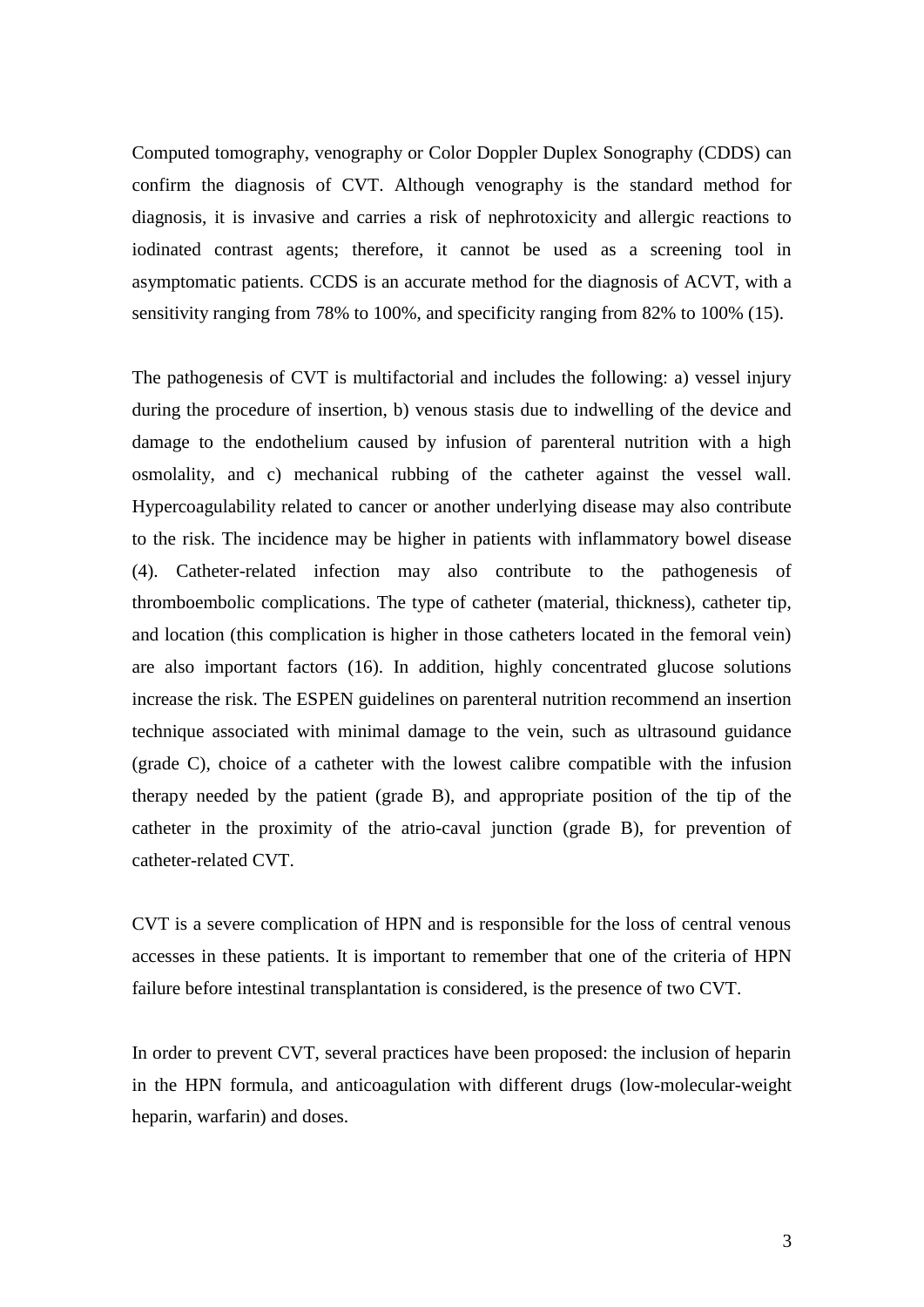Computed tomography, venography or Color Doppler Duplex Sonography (CDDS) can confirm the diagnosis of CVT. Although venography is the standard method for diagnosis, it is invasive and carries a risk of nephrotoxicity and allergic reactions to iodinated contrast agents; therefore, it cannot be used as a screening tool in asymptomatic patients. CCDS is an accurate method for the diagnosis of ACVT, with a sensitivity ranging from 78% to 100%, and specificity ranging from 82% to 100% (15).

The pathogenesis of CVT is multifactorial and includes the following: a) vessel injury during the procedure of insertion, b) venous stasis due to indwelling of the device and damage to the endothelium caused by infusion of parenteral nutrition with a high osmolality, and c) mechanical rubbing of the catheter against the vessel wall. Hypercoagulability related to cancer or another underlying disease may also contribute to the risk. The incidence may be higher in patients with inflammatory bowel disease (4). Catheter-related infection may also contribute to the pathogenesis of thromboembolic complications. The type of catheter (material, thickness), catheter tip, and location (this complication is higher in those catheters located in the femoral vein) are also important factors (16). In addition, highly concentrated glucose solutions increase the risk. The ESPEN guidelines on parenteral nutrition recommend an insertion technique associated with minimal damage to the vein, such as ultrasound guidance (grade C), choice of a catheter with the lowest calibre compatible with the infusion therapy needed by the patient (grade B), and appropriate position of the tip of the catheter in the proximity of the atrio-caval junction (grade B), for prevention of catheter-related CVT.

CVT is a severe complication of HPN and is responsible for the loss of central venous accesses in these patients. It is important to remember that one of the criteria of HPN failure before intestinal transplantation is considered, is the presence of two CVT.

In order to prevent CVT, several practices have been proposed: the inclusion of heparin in the HPN formula, and anticoagulation with different drugs (low-molecular-weight heparin, warfarin) and doses.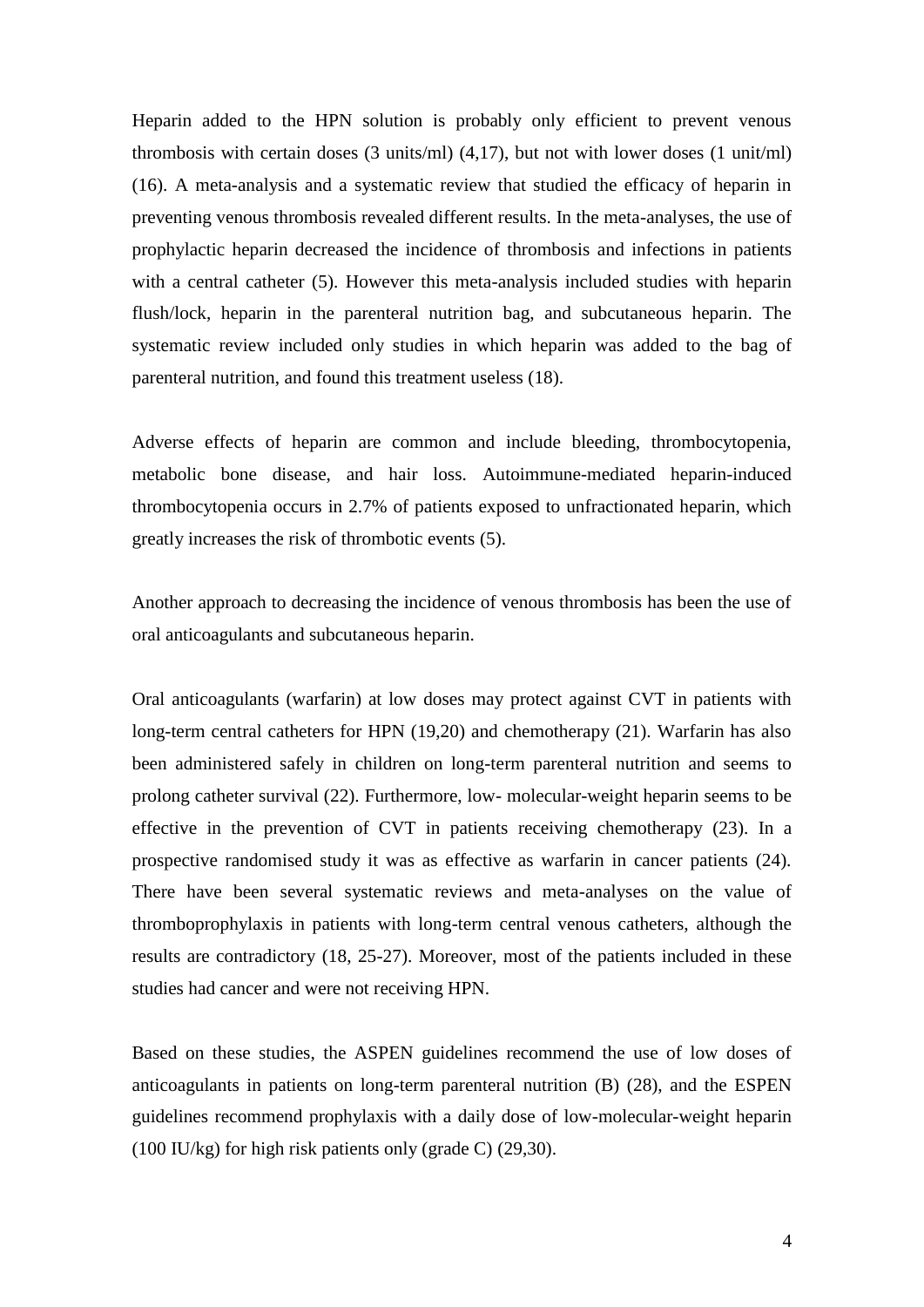Heparin added to the HPN solution is probably only efficient to prevent venous thrombosis with certain doses  $(3 \text{ units/ml})$   $(4.17)$ , but not with lower doses  $(1 \text{ unit/ml})$ (16). A meta-analysis and a systematic review that studied the efficacy of heparin in preventing venous thrombosis revealed different results. In the meta-analyses, the use of prophylactic heparin decreased the incidence of thrombosis and infections in patients with a central catheter (5). However this meta-analysis included studies with heparin flush/lock, heparin in the parenteral nutrition bag, and subcutaneous heparin. The systematic review included only studies in which heparin was added to the bag of parenteral nutrition, and found this treatment useless (18).

Adverse effects of heparin are common and include bleeding, thrombocytopenia, metabolic bone disease, and hair loss. Autoimmune-mediated heparin-induced thrombocytopenia occurs in 2.7% of patients exposed to unfractionated heparin, which greatly increases the risk of thrombotic events (5).

Another approach to decreasing the incidence of venous thrombosis has been the use of oral anticoagulants and subcutaneous heparin.

Oral anticoagulants (warfarin) at low doses may protect against CVT in patients with long-term central catheters for HPN (19,20) and chemotherapy (21). Warfarin has also been administered safely in children on long-term parenteral nutrition and seems to prolong catheter survival (22). Furthermore, low- molecular-weight heparin seems to be effective in the prevention of CVT in patients receiving chemotherapy (23). In a prospective randomised study it was as effective as warfarin in cancer patients (24). There have been several systematic reviews and meta-analyses on the value of thromboprophylaxis in patients with long-term central venous catheters, although the results are contradictory (18, 25-27). Moreover, most of the patients included in these studies had cancer and were not receiving HPN.

Based on these studies, the ASPEN guidelines recommend the use of low doses of anticoagulants in patients on long-term parenteral nutrition (B) (28), and the ESPEN guidelines recommend prophylaxis with a daily dose of low-molecular-weight heparin (100 IU/kg) for high risk patients only (grade C) (29,30).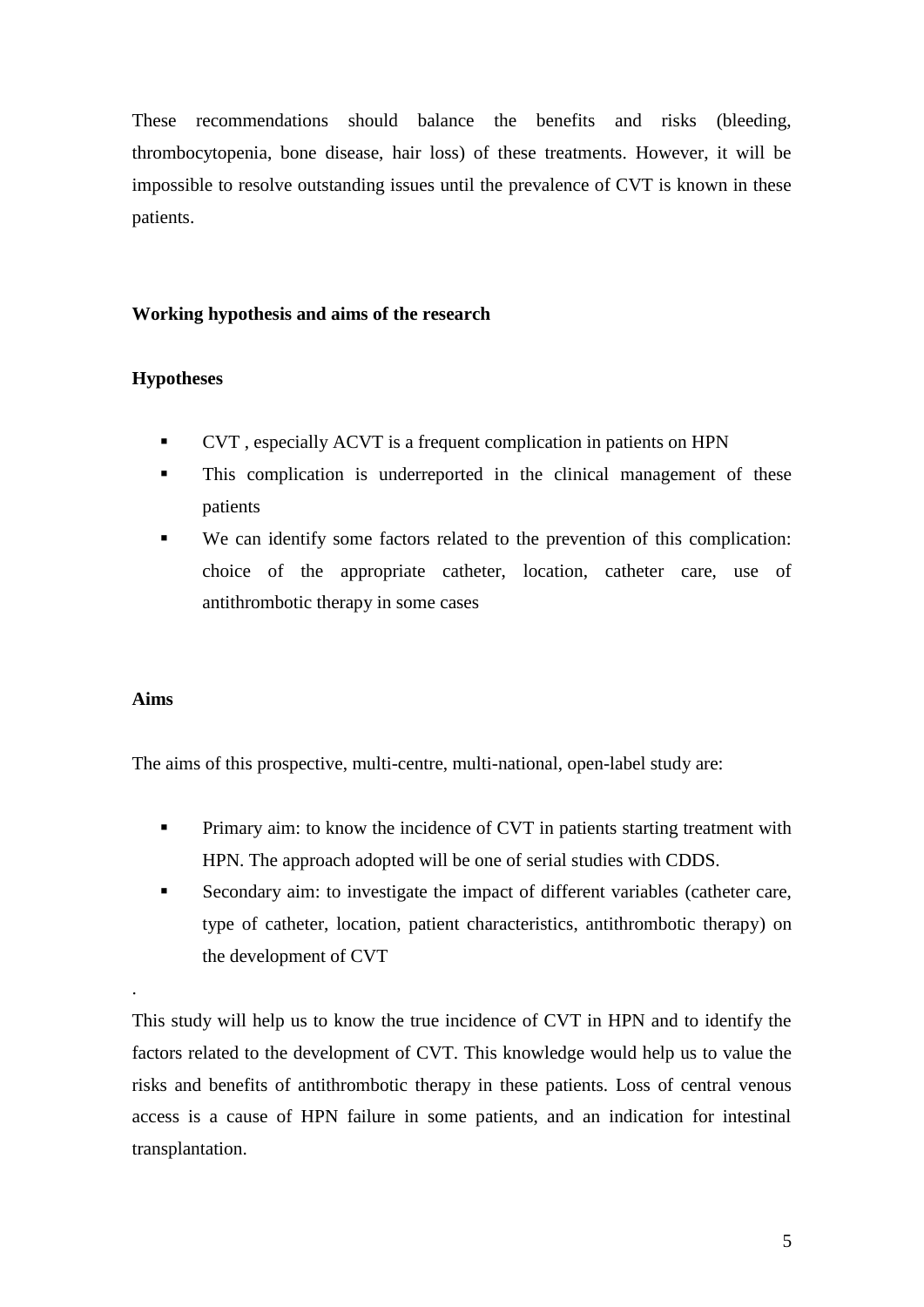These recommendations should balance the benefits and risks (bleeding, thrombocytopenia, bone disease, hair loss) of these treatments. However, it will be impossible to resolve outstanding issues until the prevalence of CVT is known in these patients.

# **Working hypothesis and aims of the research**

# **Hypotheses**

- CVT , especially ACVT is a frequent complication in patients on HPN
- This complication is underreported in the clinical management of these patients
- We can identify some factors related to the prevention of this complication: choice of the appropriate catheter, location, catheter care, use of antithrombotic therapy in some cases

# **Aims**

.

The aims of this prospective, multi-centre, multi-national, open-label study are:

- **Primary aim: to know the incidence of CVT in patients starting treatment with** HPN. The approach adopted will be one of serial studies with CDDS.
- Secondary aim: to investigate the impact of different variables (catheter care, type of catheter, location, patient characteristics, antithrombotic therapy) on the development of CVT

This study will help us to know the true incidence of CVT in HPN and to identify the factors related to the development of CVT. This knowledge would help us to value the risks and benefits of antithrombotic therapy in these patients. Loss of central venous access is a cause of HPN failure in some patients, and an indication for intestinal transplantation.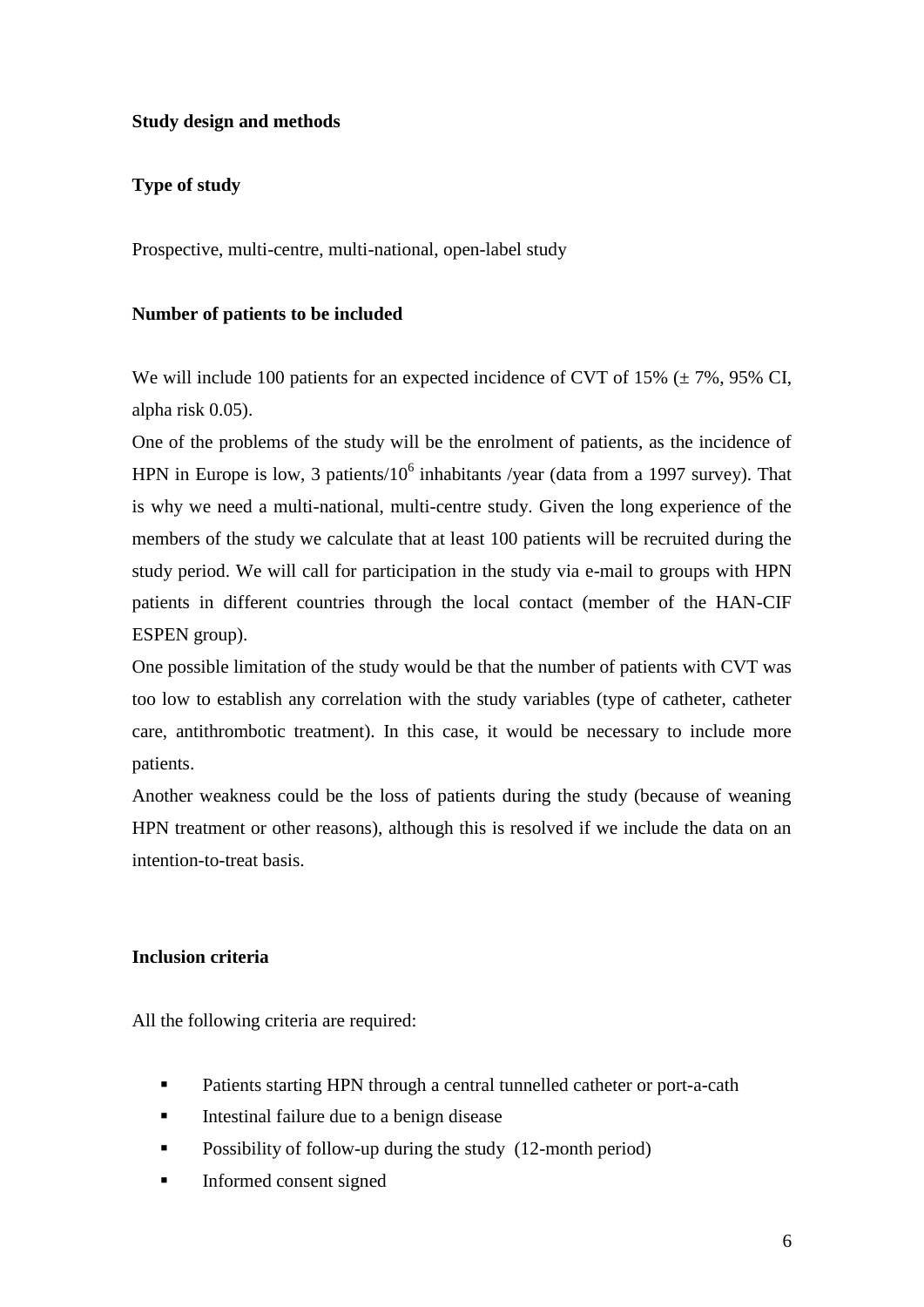# **Study design and methods**

# **Type of study**

Prospective, multi-centre, multi-national, open-label study

### **Number of patients to be included**

We will include 100 patients for an expected incidence of CVT of 15%  $(\pm 7\%$ , 95% CI, alpha risk 0.05).

One of the problems of the study will be the enrolment of patients, as the incidence of HPN in Europe is low, 3 patients/ $10^6$  inhabitants /year (data from a 1997 survey). That is why we need a multi-national, multi-centre study. Given the long experience of the members of the study we calculate that at least 100 patients will be recruited during the study period. We will call for participation in the study via e-mail to groups with HPN patients in different countries through the local contact (member of the HAN-CIF ESPEN group).

One possible limitation of the study would be that the number of patients with CVT was too low to establish any correlation with the study variables (type of catheter, catheter care, antithrombotic treatment). In this case, it would be necessary to include more patients.

Another weakness could be the loss of patients during the study (because of weaning HPN treatment or other reasons), although this is resolved if we include the data on an intention-to-treat basis.

# **Inclusion criteria**

All the following criteria are required:

- **Patients starting HPN through a central tunnelled catheter or port-a-cath**
- Intestinal failure due to a benign disease
- **•** Possibility of follow-up during the study (12-month period)
- **Informed consent signed**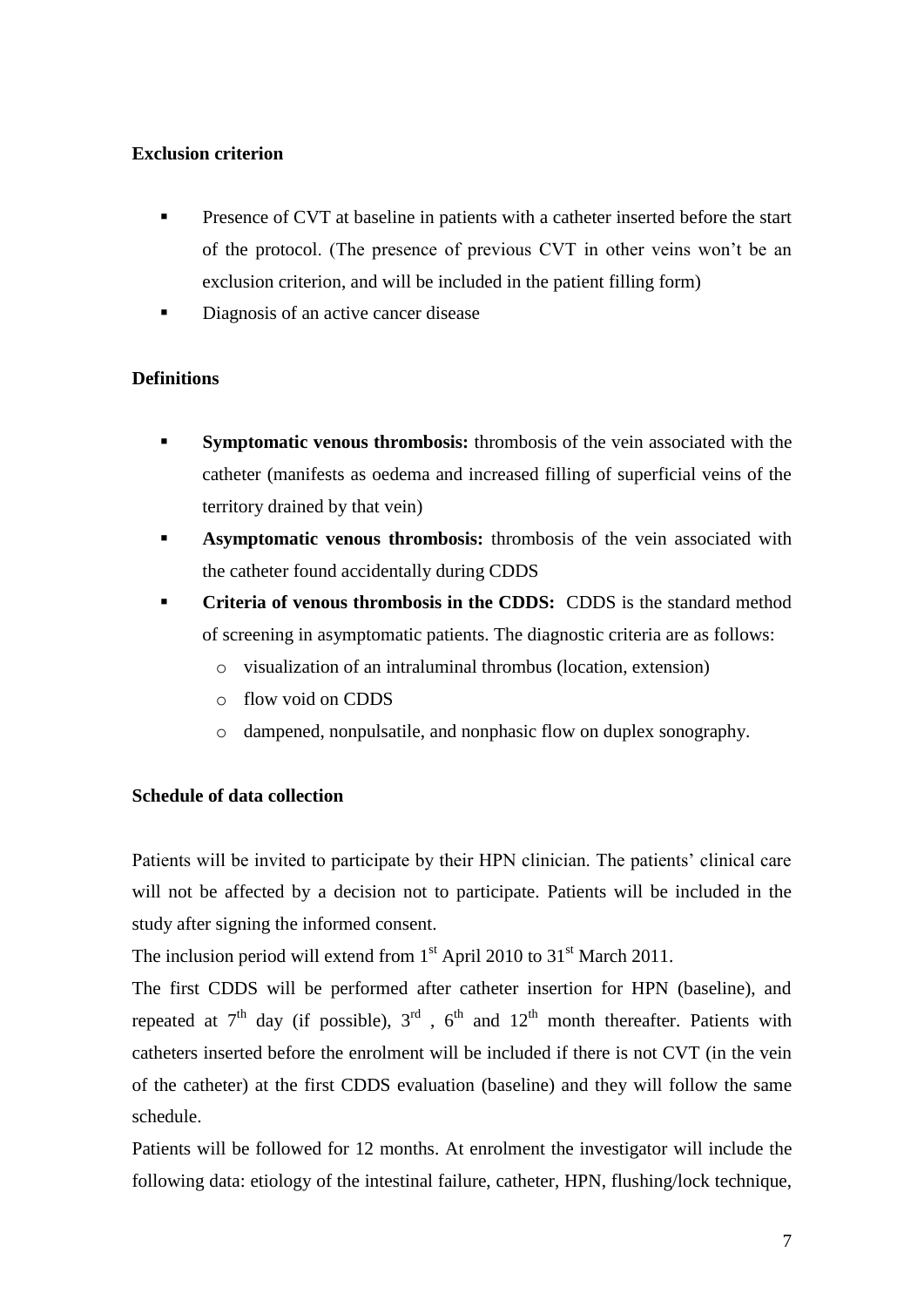# **Exclusion criterion**

- **Presence of CVT** at baseline in patients with a catheter inserted before the start of the protocol. (The presence of previous CVT in other veins won't be an exclusion criterion, and will be included in the patient filling form)
- Diagnosis of an active cancer disease

# **Definitions**

- **Symptomatic venous thrombosis:** thrombosis of the vein associated with the catheter (manifests as oedema and increased filling of superficial veins of the territory drained by that vein)
- **Asymptomatic venous thrombosis:** thrombosis of the vein associated with the catheter found accidentally during CDDS
- **Criteria of venous thrombosis in the CDDS:** CDDS is the standard method of screening in asymptomatic patients. The diagnostic criteria are as follows:
	- o visualization of an intraluminal thrombus (location, extension)
	- o flow void on CDDS
	- o dampened, nonpulsatile, and nonphasic flow on duplex sonography.

# **Schedule of data collection**

Patients will be invited to participate by their HPN clinician. The patients' clinical care will not be affected by a decision not to participate. Patients will be included in the study after signing the informed consent.

The inclusion period will extend from  $1<sup>st</sup>$  April 2010 to 31 $<sup>st</sup>$  March 2011.</sup>

The first CDDS will be performed after catheter insertion for HPN (baseline), and repeated at  $7<sup>th</sup>$  day (if possible),  $3<sup>rd</sup>$ ,  $6<sup>th</sup>$  and  $12<sup>th</sup>$  month thereafter. Patients with catheters inserted before the enrolment will be included if there is not CVT (in the vein of the catheter) at the first CDDS evaluation (baseline) and they will follow the same schedule.

Patients will be followed for 12 months. At enrolment the investigator will include the following data: etiology of the intestinal failure, catheter, HPN, flushing/lock technique,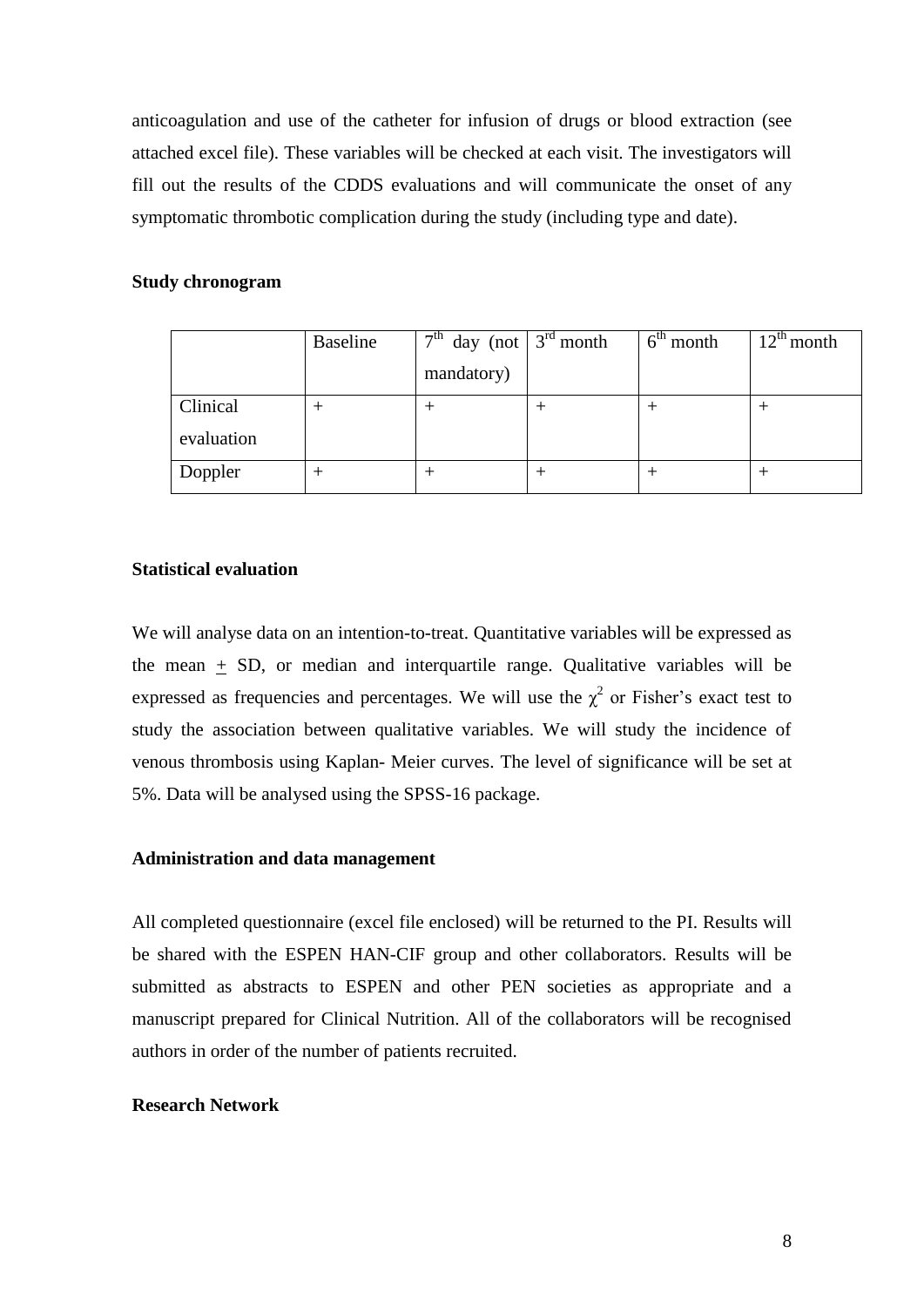anticoagulation and use of the catheter for infusion of drugs or blood extraction (see attached excel file). These variables will be checked at each visit. The investigators will fill out the results of the CDDS evaluations and will communicate the onset of any symptomatic thrombotic complication during the study (including type and date).

#### **Study chronogram**

|            | Baseline | $7th$ day (not $3rd$ month | $6th$ month | $12^{th}$ month |
|------------|----------|----------------------------|-------------|-----------------|
|            |          | mandatory)                 |             |                 |
| Clinical   |          |                            |             |                 |
| evaluation |          |                            |             |                 |
| Doppler    |          |                            |             |                 |

### **Statistical evaluation**

We will analyse data on an intention-to-treat. Quantitative variables will be expressed as the mean  $+$  SD, or median and interquartile range. Qualitative variables will be expressed as frequencies and percentages. We will use the  $\chi^2$  or Fisher's exact test to study the association between qualitative variables. We will study the incidence of venous thrombosis using Kaplan- Meier curves. The level of significance will be set at 5%. Data will be analysed using the SPSS-16 package.

#### **Administration and data management**

All completed questionnaire (excel file enclosed) will be returned to the PI. Results will be shared with the ESPEN HAN-CIF group and other collaborators. Results will be submitted as abstracts to ESPEN and other PEN societies as appropriate and a manuscript prepared for Clinical Nutrition. All of the collaborators will be recognised authors in order of the number of patients recruited.

#### **Research Network**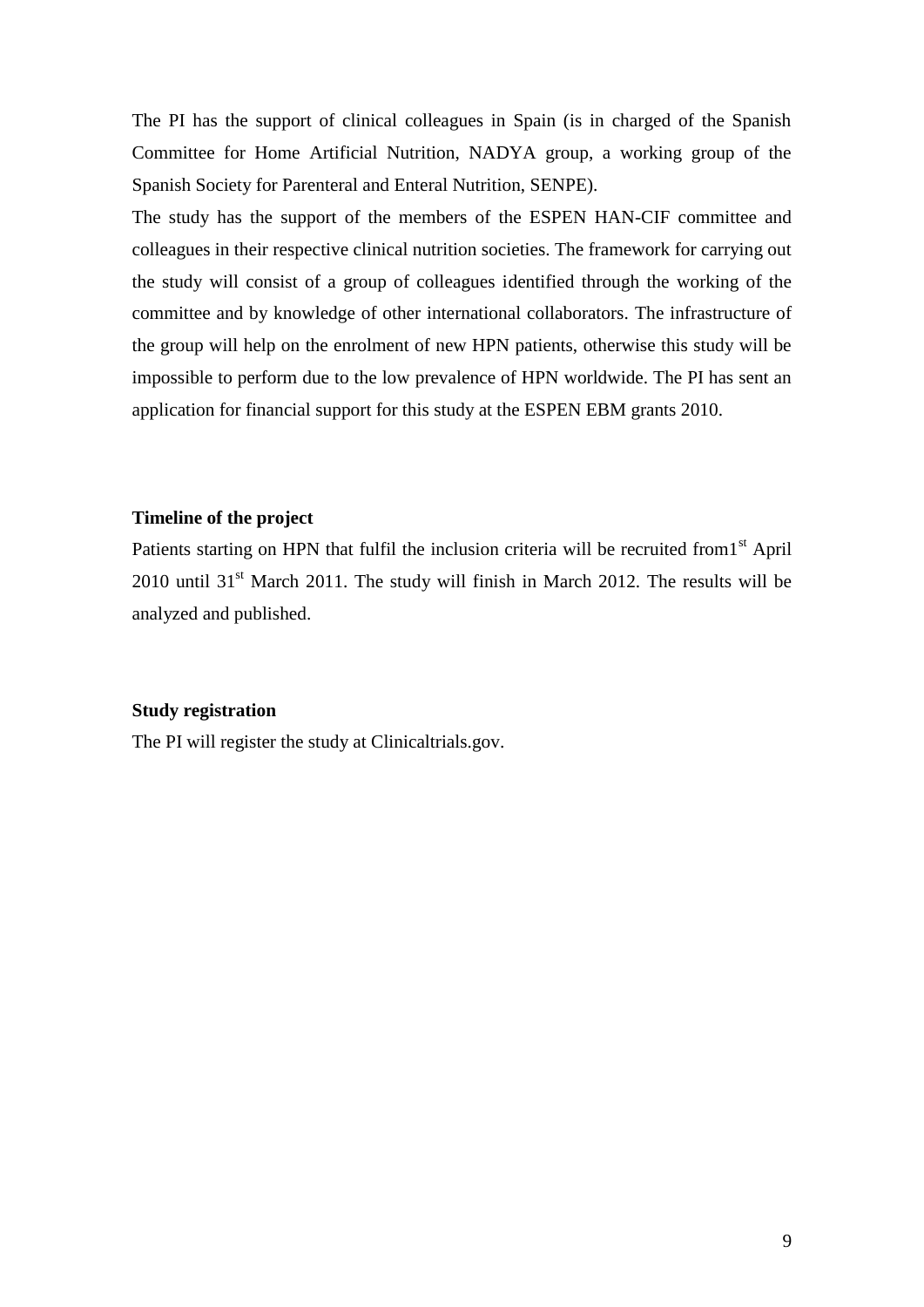The PI has the support of clinical colleagues in Spain (is in charged of the Spanish Committee for Home Artificial Nutrition, NADYA group, a working group of the Spanish Society for Parenteral and Enteral Nutrition, SENPE).

The study has the support of the members of the ESPEN HAN-CIF committee and colleagues in their respective clinical nutrition societies. The framework for carrying out the study will consist of a group of colleagues identified through the working of the committee and by knowledge of other international collaborators. The infrastructure of the group will help on the enrolment of new HPN patients, otherwise this study will be impossible to perform due to the low prevalence of HPN worldwide. The PI has sent an application for financial support for this study at the ESPEN EBM grants 2010.

### **Timeline of the project**

Patients starting on HPN that fulfil the inclusion criteria will be recruited from 1<sup>st</sup> April  $2010$  until  $31<sup>st</sup>$  March 2011. The study will finish in March 2012. The results will be analyzed and published.

### **Study registration**

The PI will register the study at Clinicaltrials.gov.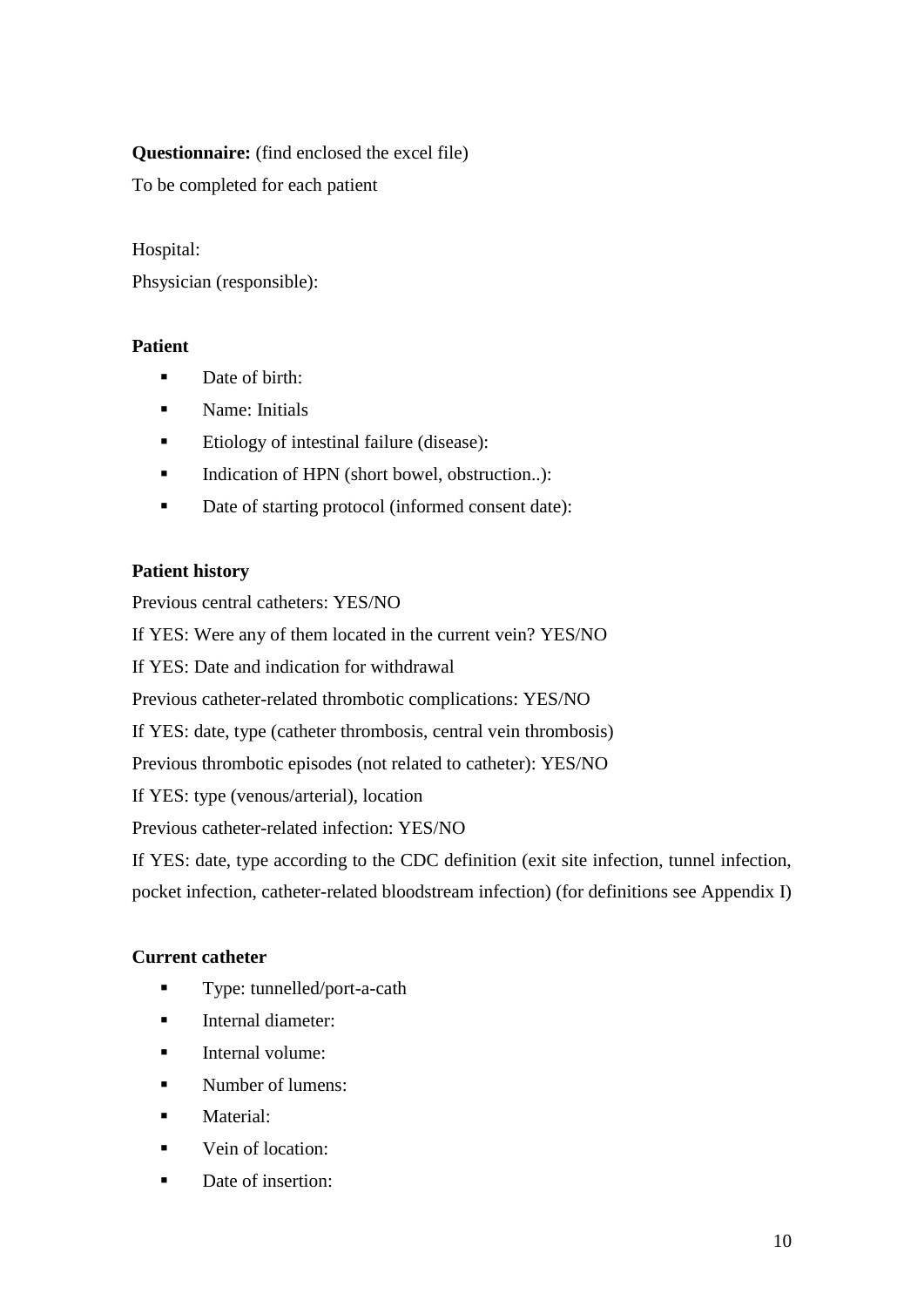# **Questionnaire:** (find enclosed the excel file)

To be completed for each patient

# Hospital:

Phsysician (responsible):

# **Patient**

- **Date of birth:**
- **Name:** Initials
- Etiology of intestinal failure (disease):
- Indication of HPN (short bowel, obstruction..):
- Date of starting protocol (informed consent date):

# **Patient history**

Previous central catheters: YES/NO

If YES: Were any of them located in the current vein? YES/NO

If YES: Date and indication for withdrawal

Previous catheter-related thrombotic complications: YES/NO

If YES: date, type (catheter thrombosis, central vein thrombosis)

Previous thrombotic episodes (not related to catheter): YES/NO

If YES: type (venous/arterial), location

Previous catheter-related infection: YES/NO

If YES: date, type according to the CDC definition (exit site infection, tunnel infection,

pocket infection, catheter-related bloodstream infection) (for definitions see Appendix I)

# **Current catheter**

- **Type:** tunnelled/port-a-cath
- **Internal diameter:**
- $\blacksquare$  Internal volume:
- **Number of lumens:**
- **Material:**
- **vein of location:**
- Date of insertion: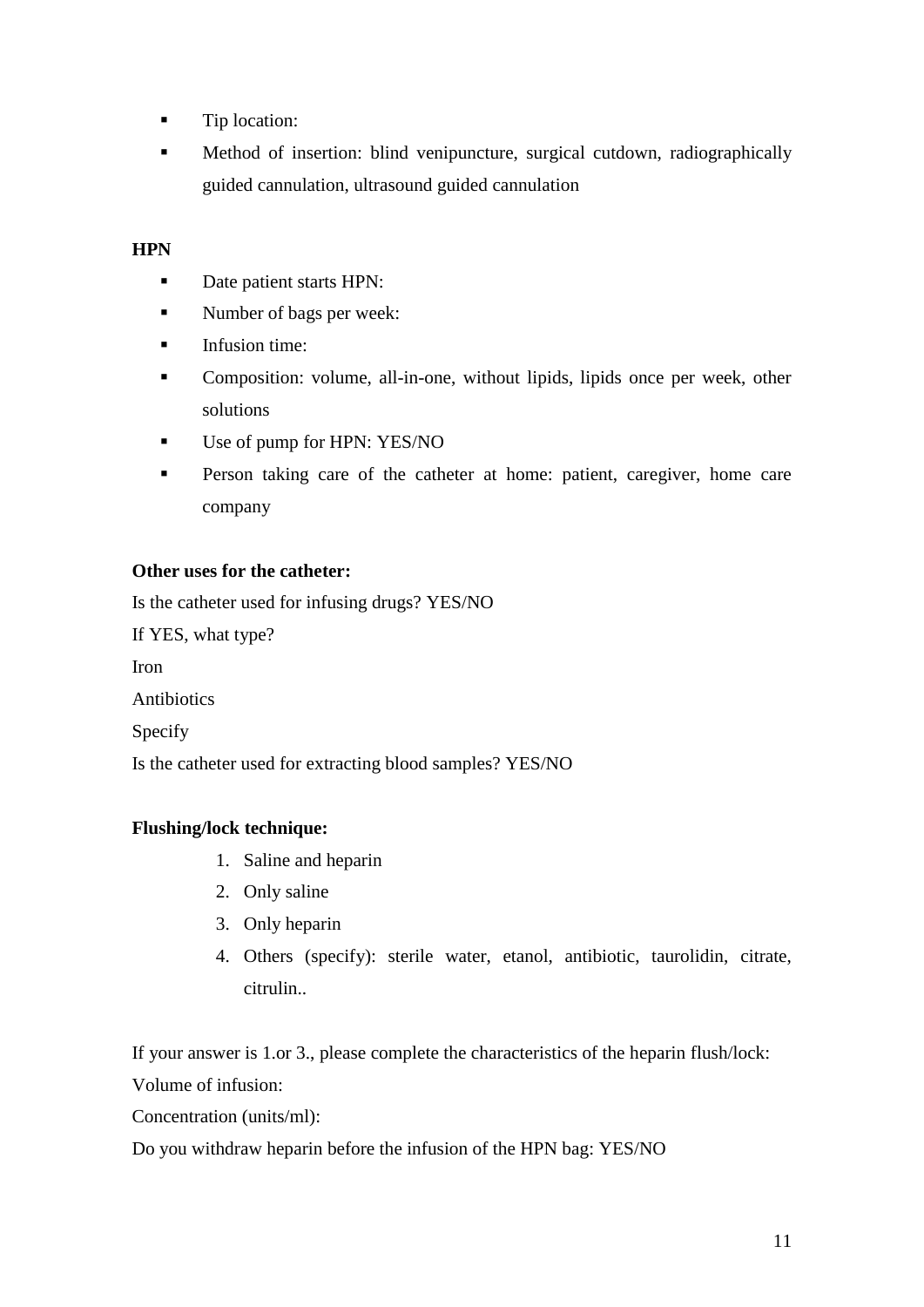- **Tip location:**
- **Method of insertion: blind venipuncture, surgical cutdown, radiographically** guided cannulation, ultrasound guided cannulation

### **HPN**

- Date patient starts HPN:
- Number of bags per week:
- $\blacksquare$  Infusion time:
- Composition: volume, all-in-one, without lipids, lipids once per week, other solutions
- Use of pump for HPN: YES/NO
- **Person taking care of the catheter at home: patient, caregiver, home care** company

### **Other uses for the catheter:**

Is the catheter used for infusing drugs? YES/NO

If YES, what type?

Iron

Antibiotics

Specify

Is the catheter used for extracting blood samples? YES/NO

# **Flushing/lock technique:**

- 1. Saline and heparin
- 2. Only saline
- 3. Only heparin
- 4. Others (specify): sterile water, etanol, antibiotic, taurolidin, citrate, citrulin..

If your answer is 1.or 3., please complete the characteristics of the heparin flush/lock: Volume of infusion:

Concentration (units/ml):

Do you withdraw heparin before the infusion of the HPN bag: YES/NO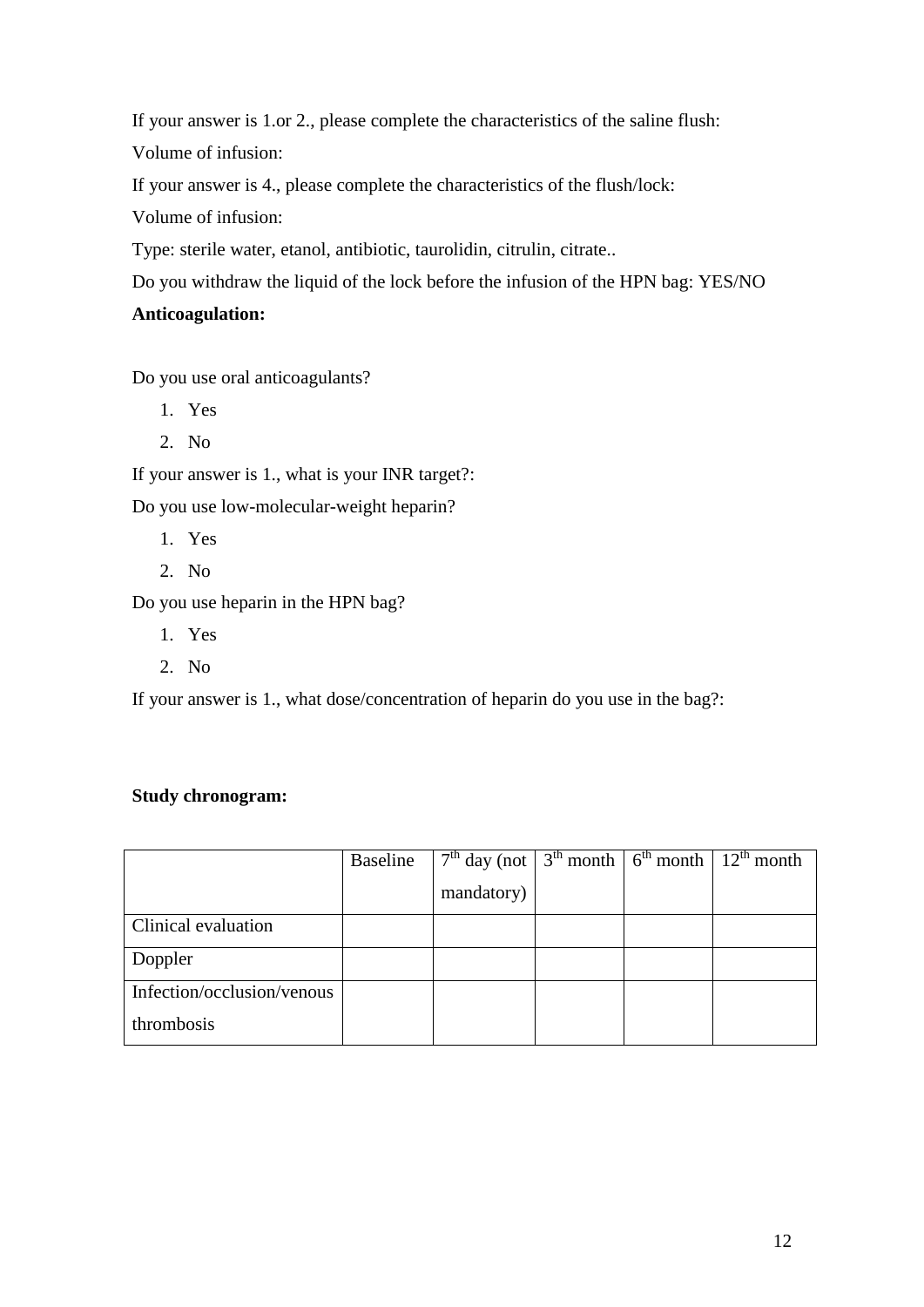If your answer is 1.or 2., please complete the characteristics of the saline flush:

Volume of infusion:

If your answer is 4., please complete the characteristics of the flush/lock:

Volume of infusion:

Type: sterile water, etanol, antibiotic, taurolidin, citrulin, citrate..

Do you withdraw the liquid of the lock before the infusion of the HPN bag: YES/NO

# **Anticoagulation:**

Do you use oral anticoagulants?

- 1. Yes
- 2. No

If your answer is 1., what is your INR target?:

Do you use low-molecular-weight heparin?

- 1. Yes
- 2. No

Do you use heparin in the HPN bag?

- 1. Yes
- 2. No

If your answer is 1., what dose/concentration of heparin do you use in the bag?:

# **Study chronogram:**

|                            | Baseline | $7th$ day (not $\frac{1}{3}$ <sup>th</sup> month $\frac{1}{6}$ o <sup>th</sup> month $\frac{1}{2}$ <sup>th</sup> month |  |  |
|----------------------------|----------|------------------------------------------------------------------------------------------------------------------------|--|--|
|                            |          | mandatory)                                                                                                             |  |  |
| Clinical evaluation        |          |                                                                                                                        |  |  |
| Doppler                    |          |                                                                                                                        |  |  |
| Infection/occlusion/venous |          |                                                                                                                        |  |  |
| thrombosis                 |          |                                                                                                                        |  |  |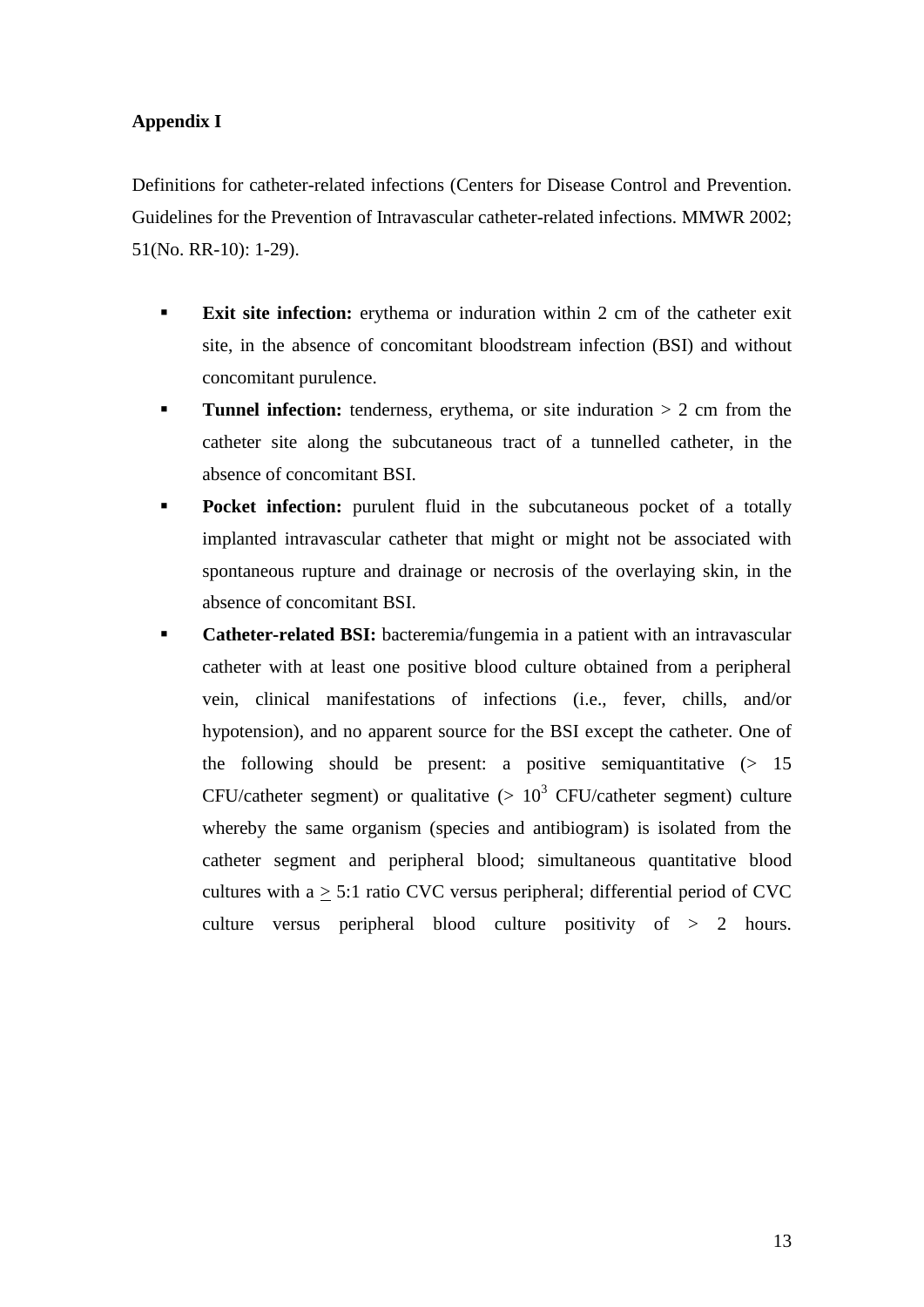### **Appendix I**

Definitions for catheter-related infections (Centers for Disease Control and Prevention. Guidelines for the Prevention of Intravascular catheter-related infections. MMWR 2002; 51(No. RR-10): 1-29).

- **Exit site infection:** erythema or induration within 2 cm of the catheter exit site, in the absence of concomitant bloodstream infection (BSI) and without concomitant purulence.
- **Tunnel infection:** tenderness, erythema, or site induration  $> 2$  cm from the catheter site along the subcutaneous tract of a tunnelled catheter, in the absence of concomitant BSI.
- **Pocket infection:** purulent fluid in the subcutaneous pocket of a totally implanted intravascular catheter that might or might not be associated with spontaneous rupture and drainage or necrosis of the overlaying skin, in the absence of concomitant BSI.
- **Catheter-related BSI:** bacteremia/fungemia in a patient with an intravascular catheter with at least one positive blood culture obtained from a peripheral vein, clinical manifestations of infections (i.e., fever, chills, and/or hypotension), and no apparent source for the BSI except the catheter. One of the following should be present: a positive semiquantitative  $(> 15$ CFU/catheter segment) or qualitative  $(> 10^3$  CFU/catheter segment) culture whereby the same organism (species and antibiogram) is isolated from the catheter segment and peripheral blood; simultaneous quantitative blood cultures with  $a > 5:1$  ratio CVC versus peripheral; differential period of CVC culture versus peripheral blood culture positivity of > 2 hours.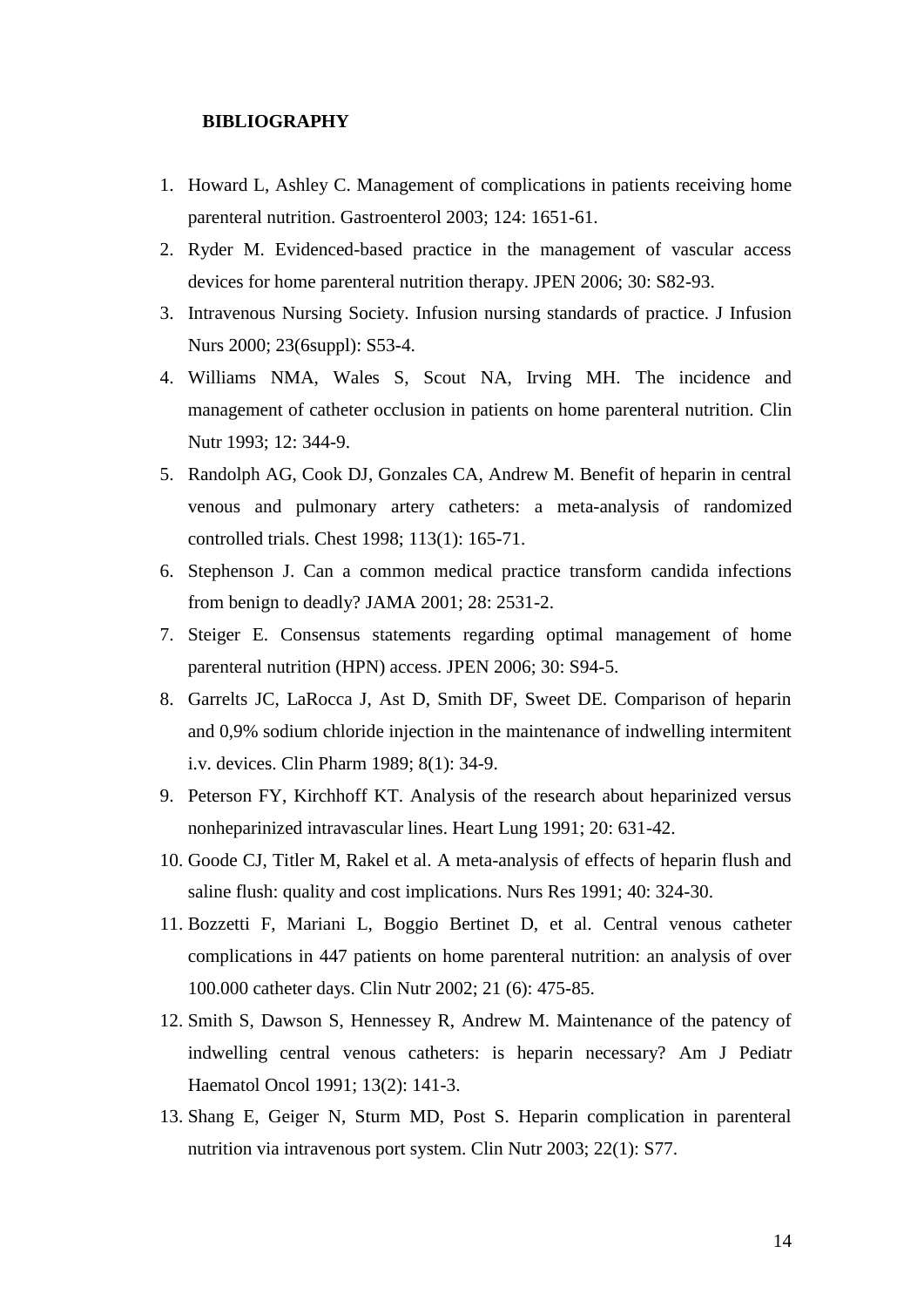#### **BIBLIOGRAPHY**

- 1. Howard L, Ashley C. Management of complications in patients receiving home parenteral nutrition. Gastroenterol 2003; 124: 1651-61.
- 2. Ryder M. Evidenced-based practice in the management of vascular access devices for home parenteral nutrition therapy. JPEN 2006; 30: S82-93.
- 3. Intravenous Nursing Society. Infusion nursing standards of practice. J Infusion Nurs 2000; 23(6suppl): S53-4.
- 4. Williams NMA, Wales S, Scout NA, Irving MH. The incidence and management of catheter occlusion in patients on home parenteral nutrition. Clin Nutr 1993; 12: 344-9.
- 5. Randolph AG, Cook DJ, Gonzales CA, Andrew M. Benefit of heparin in central venous and pulmonary artery catheters: a meta-analysis of randomized controlled trials. Chest 1998; 113(1): 165-71.
- 6. Stephenson J. Can a common medical practice transform candida infections from benign to deadly? JAMA 2001; 28: 2531-2.
- 7. Steiger E. Consensus statements regarding optimal management of home parenteral nutrition (HPN) access. JPEN 2006; 30: S94-5.
- 8. Garrelts JC, LaRocca J, Ast D, Smith DF, Sweet DE. Comparison of heparin and 0,9% sodium chloride injection in the maintenance of indwelling intermitent i.v. devices. Clin Pharm 1989; 8(1): 34-9.
- 9. Peterson FY, Kirchhoff KT. Analysis of the research about heparinized versus nonheparinized intravascular lines. Heart Lung 1991; 20: 631-42.
- 10. Goode CJ, Titler M, Rakel et al. A meta-analysis of effects of heparin flush and saline flush: quality and cost implications. Nurs Res 1991; 40: 324-30.
- 11. Bozzetti F, Mariani L, Boggio Bertinet D, et al. Central venous catheter complications in 447 patients on home parenteral nutrition: an analysis of over 100.000 catheter days. Clin Nutr 2002; 21 (6): 475-85.
- 12. Smith S, Dawson S, Hennessey R, Andrew M. Maintenance of the patency of indwelling central venous catheters: is heparin necessary? Am J Pediatr Haematol Oncol 1991; 13(2): 141-3.
- 13. Shang E, Geiger N, Sturm MD, Post S. Heparin complication in parenteral nutrition via intravenous port system. Clin Nutr 2003; 22(1): S77.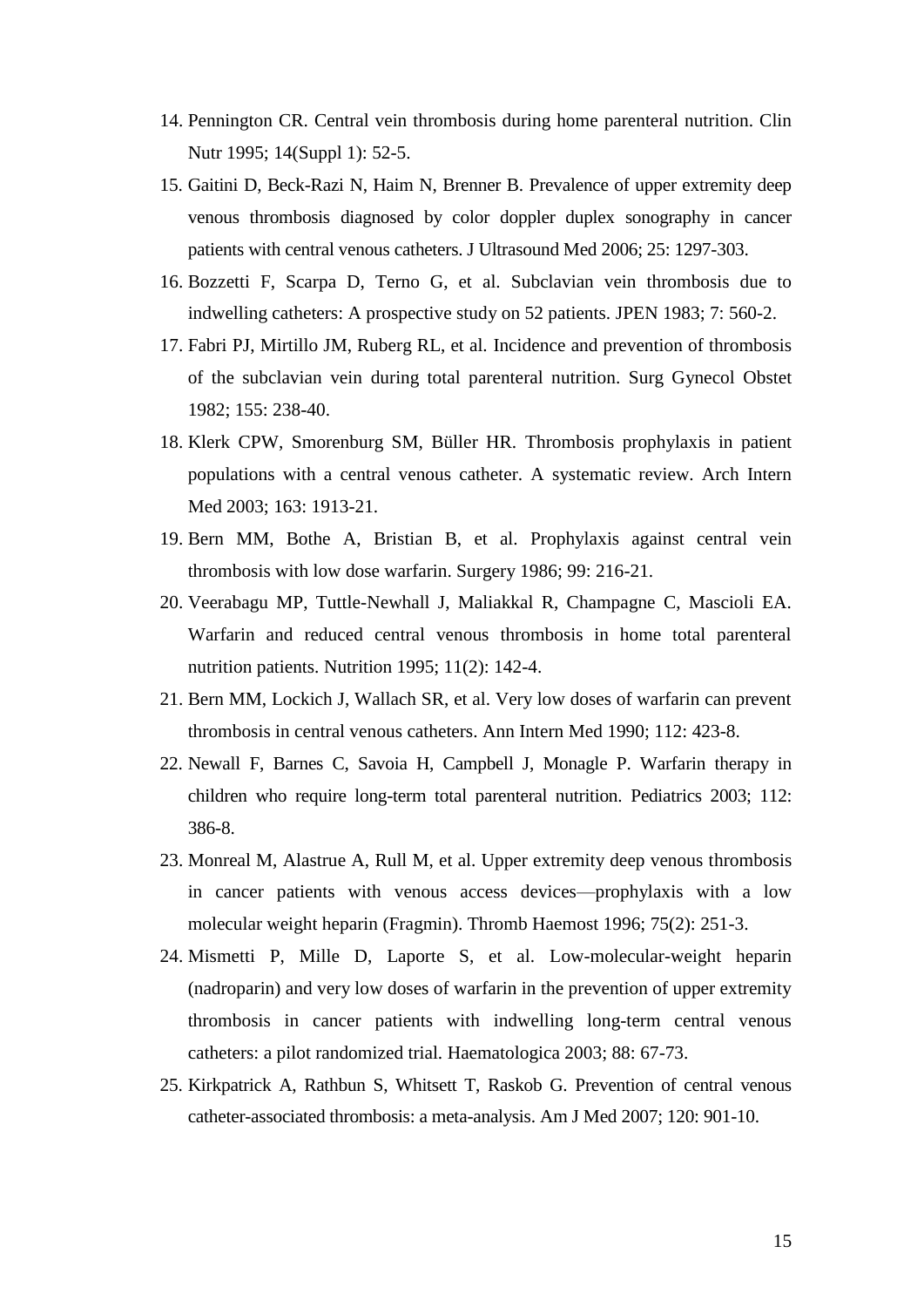- 14. Pennington CR. Central vein thrombosis during home parenteral nutrition. Clin Nutr 1995; 14(Suppl 1): 52-5.
- 15. Gaitini D, Beck-Razi N, Haim N, Brenner B. Prevalence of upper extremity deep venous thrombosis diagnosed by color doppler duplex sonography in cancer patients with central venous catheters. J Ultrasound Med 2006; 25: 1297-303.
- 16. Bozzetti F, Scarpa D, Terno G, et al. Subclavian vein thrombosis due to indwelling catheters: A prospective study on 52 patients. JPEN 1983; 7: 560-2.
- 17. Fabri PJ, Mirtillo JM, Ruberg RL, et al. Incidence and prevention of thrombosis of the subclavian vein during total parenteral nutrition. Surg Gynecol Obstet 1982; 155: 238-40.
- 18. Klerk CPW, Smorenburg SM, Büller HR. Thrombosis prophylaxis in patient populations with a central venous catheter. A systematic review. Arch Intern Med 2003; 163: 1913-21.
- 19. Bern MM, Bothe A, Bristian B, et al. Prophylaxis against central vein thrombosis with low dose warfarin. Surgery 1986; 99: 216-21.
- 20. Veerabagu MP, Tuttle-Newhall J, Maliakkal R, Champagne C, Mascioli EA. Warfarin and reduced central venous thrombosis in home total parenteral nutrition patients. Nutrition 1995; 11(2): 142-4.
- 21. Bern MM, Lockich J, Wallach SR, et al. Very low doses of warfarin can prevent thrombosis in central venous catheters. Ann Intern Med 1990; 112: 423-8.
- 22. Newall F, Barnes C, Savoia H, Campbell J, Monagle P. Warfarin therapy in children who require long-term total parenteral nutrition. Pediatrics 2003; 112: 386-8.
- 23. Monreal M, Alastrue A, Rull M, et al. Upper extremity deep venous thrombosis in cancer patients with venous access devices—prophylaxis with a low molecular weight heparin (Fragmin). Thromb Haemost 1996; 75(2): 251-3.
- 24. Mismetti P, Mille D, Laporte S, et al. Low-molecular-weight heparin (nadroparin) and very low doses of warfarin in the prevention of upper extremity thrombosis in cancer patients with indwelling long-term central venous catheters: a pilot randomized trial. Haematologica 2003; 88: 67-73.
- 25. Kirkpatrick A, Rathbun S, Whitsett T, Raskob G. Prevention of central venous catheter-associated thrombosis: a meta-analysis. Am J Med 2007; 120: 901-10.